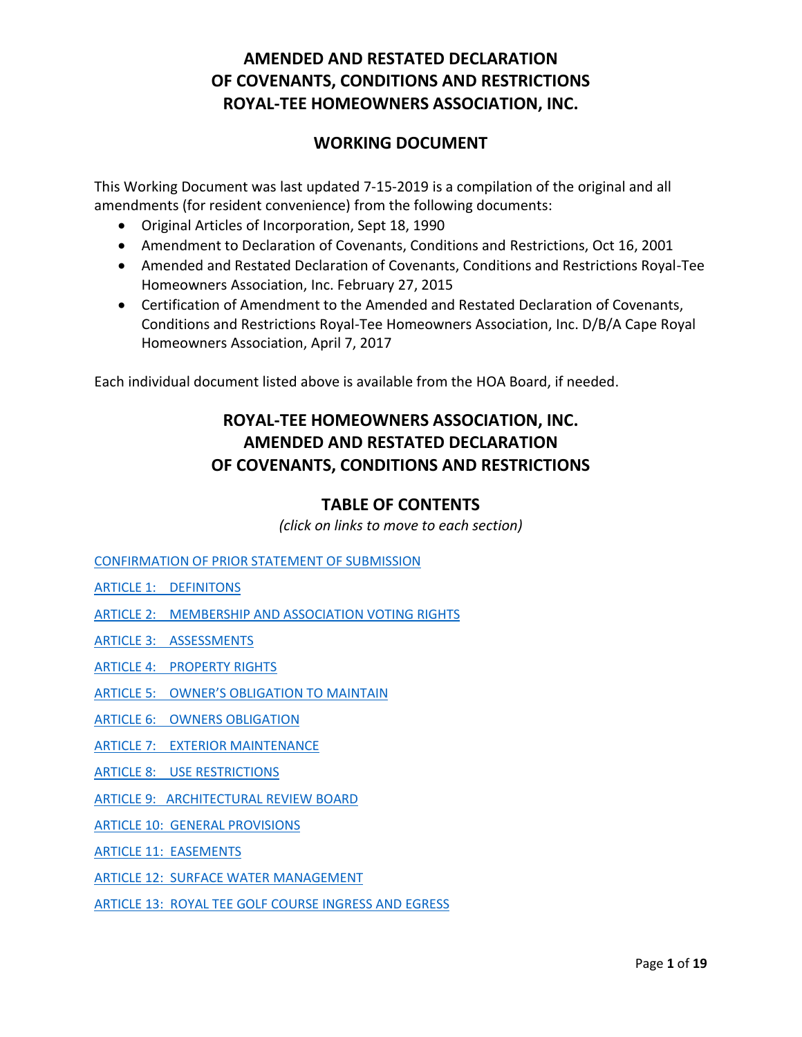### **WORKING DOCUMENT**

This Working Document was last updated 7-15-2019 is a compilation of the original and all amendments (for resident convenience) from the following documents:

- Original Articles of Incorporation, Sept 18, 1990
- Amendment to Declaration of Covenants, Conditions and Restrictions, Oct 16, 2001
- Amended and Restated Declaration of Covenants, Conditions and Restrictions Royal-Tee Homeowners Association, Inc. February 27, 2015
- Certification of Amendment to the Amended and Restated Declaration of Covenants, Conditions and Restrictions Royal-Tee Homeowners Association, Inc. D/B/A Cape Royal Homeowners Association, April 7, 2017

Each individual document listed above is available from the HOA Board, if needed.

# **ROYAL-TEE HOMEOWNERS ASSOCIATION, INC. AMENDED AND RESTATED DECLARATION OF COVENANTS, CONDITIONS AND RESTRICTIONS**

### **TABLE OF CONTENTS**

*(click on links to move to each section)*

[CONFIRMATION OF PRIOR STATEMENT OF SUBMISSION](#page-1-0)

[ARTICLE 1: DEFINITONS](#page-1-1)

[ARTICLE 2: MEMBERSHIP AND ASSOCIATION VOTING](#page-3-0) RIGHTS

[ARTICLE 3: ASSESSMENTS](#page-3-1)

[ARTICLE 4: PROPERTY RIGHTS](#page-9-0)

- ARTICLE 5: [OWNER'S OBLIGATION TO MAINTAIN](#page-10-0)
- [ARTICLE 6: OWNERS OBLIGATION](#page-10-1)

[ARTICLE 7: EXTERIOR MAINTENANCE](#page-11-0)

[ARTICLE 8: USE RESTRICTIONS](#page-11-1)

[ARTICLE 9: ARCHITECTURAL REVIEW BOARD](#page-14-0)

[ARTICLE 10: GENERAL PROVISIONS](#page-14-1)

[ARTICLE 11: EASEMENTS](#page-16-0)

[ARTICLE 12: SURFACE WATER MANAGEMENT](#page-17-0)

[ARTICLE 13: ROYAL TEE GOLF COURSE INGRESS AND EGRESS](#page-17-1)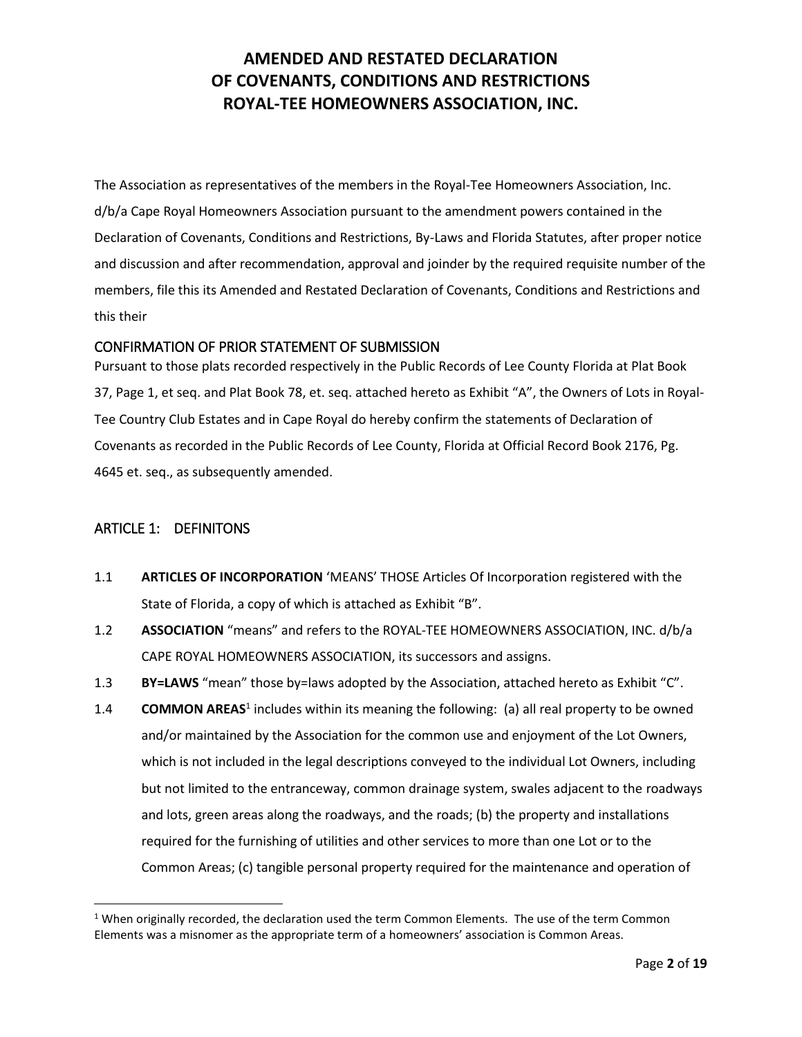The Association as representatives of the members in the Royal-Tee Homeowners Association, Inc. d/b/a Cape Royal Homeowners Association pursuant to the amendment powers contained in the Declaration of Covenants, Conditions and Restrictions, By-Laws and Florida Statutes, after proper notice and discussion and after recommendation, approval and joinder by the required requisite number of the members, file this its Amended and Restated Declaration of Covenants, Conditions and Restrictions and this their

### <span id="page-1-0"></span>CONFIRMATION OF PRIOR STATEMENT OF SUBMISSION

Pursuant to those plats recorded respectively in the Public Records of Lee County Florida at Plat Book 37, Page 1, et seq. and Plat Book 78, et. seq. attached hereto as Exhibit "A", the Owners of Lots in Royal-Tee Country Club Estates and in Cape Royal do hereby confirm the statements of Declaration of Covenants as recorded in the Public Records of Lee County, Florida at Official Record Book 2176, Pg. 4645 et. seq., as subsequently amended.

### <span id="page-1-1"></span>ARTICLE 1: DEFINITONS

 $\overline{\phantom{a}}$ 

- 1.1 **ARTICLES OF INCORPORATION** 'MEANS' THOSE Articles Of Incorporation registered with the State of Florida, a copy of which is attached as Exhibit "B".
- 1.2 **ASSOCIATION** "means" and refers to the ROYAL-TEE HOMEOWNERS ASSOCIATION, INC. d/b/a CAPE ROYAL HOMEOWNERS ASSOCIATION, its successors and assigns.
- 1.3 **BY=LAWS** "mean" those by=laws adopted by the Association, attached hereto as Exhibit "C".
- 1.4 **COMMON AREAS**<sup>1</sup> includes within its meaning the following: (a) all real property to be owned and/or maintained by the Association for the common use and enjoyment of the Lot Owners, which is not included in the legal descriptions conveyed to the individual Lot Owners, including but not limited to the entranceway, common drainage system, swales adjacent to the roadways and lots, green areas along the roadways, and the roads; (b) the property and installations required for the furnishing of utilities and other services to more than one Lot or to the Common Areas; (c) tangible personal property required for the maintenance and operation of

 $1$  When originally recorded, the declaration used the term Common Elements. The use of the term Common Elements was a misnomer as the appropriate term of a homeowners' association is Common Areas.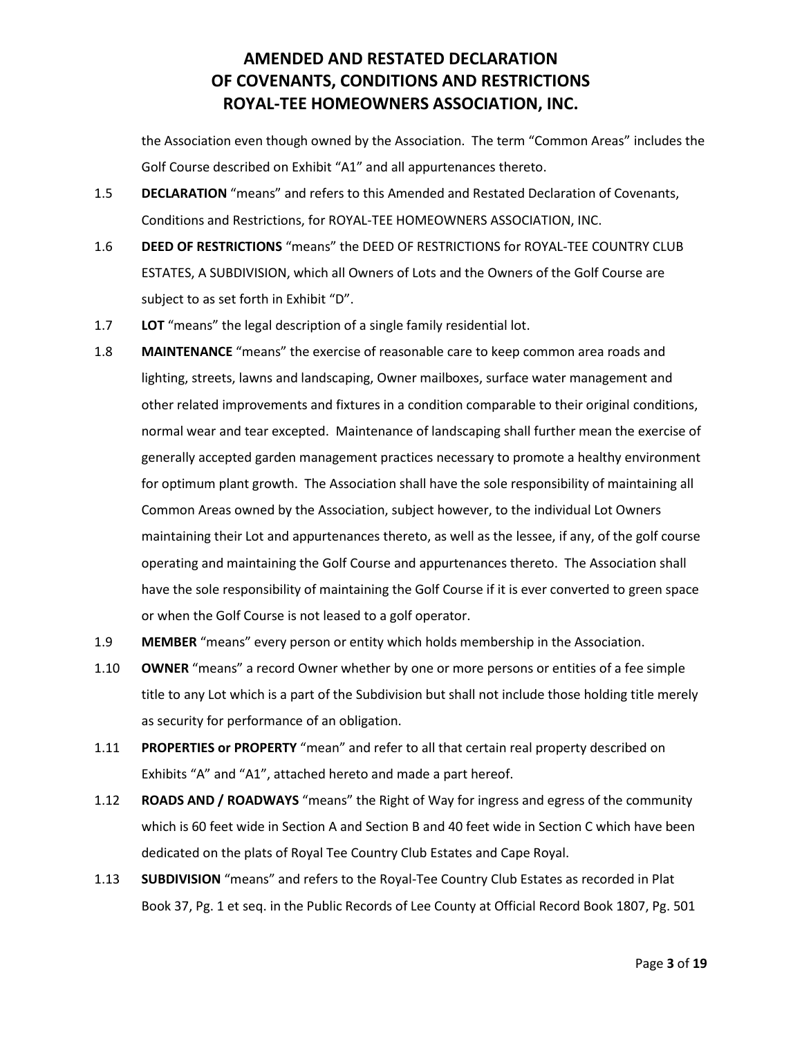the Association even though owned by the Association. The term "Common Areas" includes the Golf Course described on Exhibit "A1" and all appurtenances thereto.

- 1.5 **DECLARATION** "means" and refers to this Amended and Restated Declaration of Covenants, Conditions and Restrictions, for ROYAL-TEE HOMEOWNERS ASSOCIATION, INC.
- 1.6 **DEED OF RESTRICTIONS** "means" the DEED OF RESTRICTIONS for ROYAL-TEE COUNTRY CLUB ESTATES, A SUBDIVISION, which all Owners of Lots and the Owners of the Golf Course are subject to as set forth in Exhibit "D".
- 1.7 **LOT** "means" the legal description of a single family residential lot.
- 1.8 **MAINTENANCE** "means" the exercise of reasonable care to keep common area roads and lighting, streets, lawns and landscaping, Owner mailboxes, surface water management and other related improvements and fixtures in a condition comparable to their original conditions, normal wear and tear excepted. Maintenance of landscaping shall further mean the exercise of generally accepted garden management practices necessary to promote a healthy environment for optimum plant growth. The Association shall have the sole responsibility of maintaining all Common Areas owned by the Association, subject however, to the individual Lot Owners maintaining their Lot and appurtenances thereto, as well as the lessee, if any, of the golf course operating and maintaining the Golf Course and appurtenances thereto. The Association shall have the sole responsibility of maintaining the Golf Course if it is ever converted to green space or when the Golf Course is not leased to a golf operator.
- 1.9 **MEMBER** "means" every person or entity which holds membership in the Association.
- 1.10 **OWNER** "means" a record Owner whether by one or more persons or entities of a fee simple title to any Lot which is a part of the Subdivision but shall not include those holding title merely as security for performance of an obligation.
- 1.11 **PROPERTIES or PROPERTY** "mean" and refer to all that certain real property described on Exhibits "A" and "A1", attached hereto and made a part hereof.
- 1.12 **ROADS AND / ROADWAYS** "means" the Right of Way for ingress and egress of the community which is 60 feet wide in Section A and Section B and 40 feet wide in Section C which have been dedicated on the plats of Royal Tee Country Club Estates and Cape Royal.
- 1.13 **SUBDIVISION** "means" and refers to the Royal-Tee Country Club Estates as recorded in Plat Book 37, Pg. 1 et seq. in the Public Records of Lee County at Official Record Book 1807, Pg. 501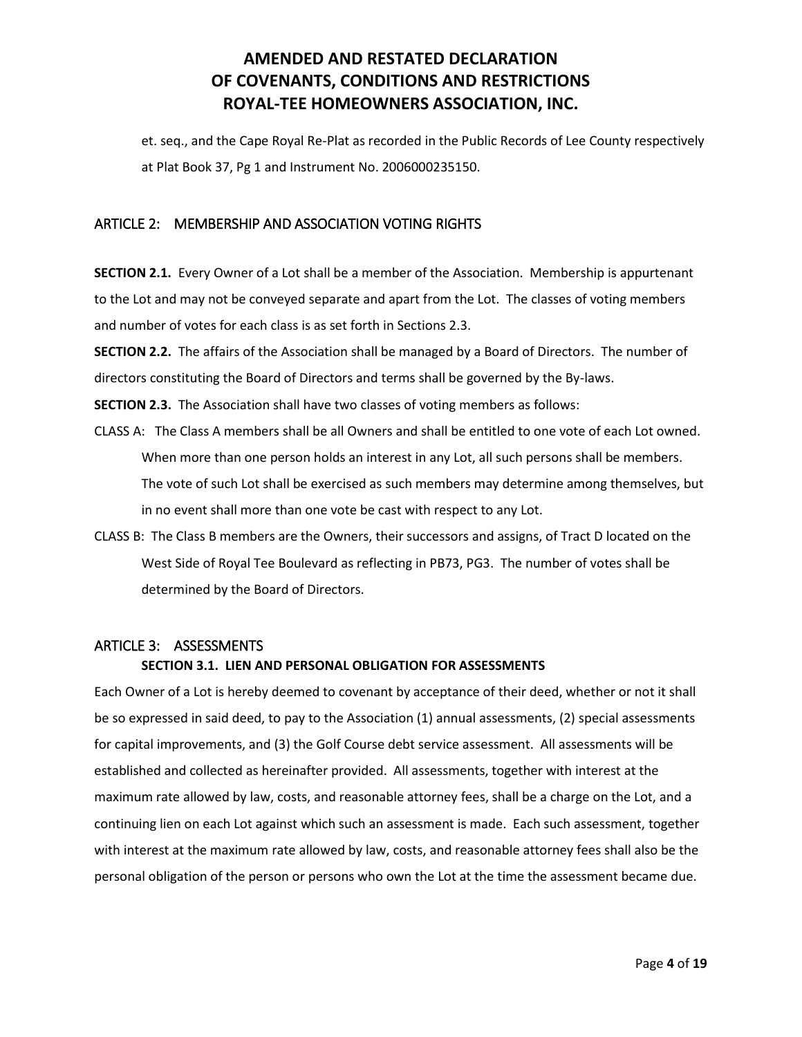et. seq., and the Cape Royal Re-Plat as recorded in the Public Records of Lee County respectively at Plat Book 37, Pg 1 and Instrument No. 2006000235150.

### <span id="page-3-0"></span>ARTICLE 2: MEMBERSHIP AND ASSOCIATION VOTING RIGHTS

**SECTION 2.1.** Every Owner of a Lot shall be a member of the Association. Membership is appurtenant to the Lot and may not be conveyed separate and apart from the Lot. The classes of voting members and number of votes for each class is as set forth in Sections 2.3.

**SECTION 2.2.** The affairs of the Association shall be managed by a Board of Directors. The number of directors constituting the Board of Directors and terms shall be governed by the By-laws.

**SECTION 2.3.** The Association shall have two classes of voting members as follows:

- CLASS A: The Class A members shall be all Owners and shall be entitled to one vote of each Lot owned. When more than one person holds an interest in any Lot, all such persons shall be members. The vote of such Lot shall be exercised as such members may determine among themselves, but in no event shall more than one vote be cast with respect to any Lot.
- CLASS B: The Class B members are the Owners, their successors and assigns, of Tract D located on the West Side of Royal Tee Boulevard as reflecting in PB73, PG3. The number of votes shall be determined by the Board of Directors.

### <span id="page-3-1"></span>ARTICLE 3: ASSESSMENTS

### **SECTION 3.1. LIEN AND PERSONAL OBLIGATION FOR ASSESSMENTS**

Each Owner of a Lot is hereby deemed to covenant by acceptance of their deed, whether or not it shall be so expressed in said deed, to pay to the Association (1) annual assessments, (2) special assessments for capital improvements, and (3) the Golf Course debt service assessment. All assessments will be established and collected as hereinafter provided. All assessments, together with interest at the maximum rate allowed by law, costs, and reasonable attorney fees, shall be a charge on the Lot, and a continuing lien on each Lot against which such an assessment is made. Each such assessment, together with interest at the maximum rate allowed by law, costs, and reasonable attorney fees shall also be the personal obligation of the person or persons who own the Lot at the time the assessment became due.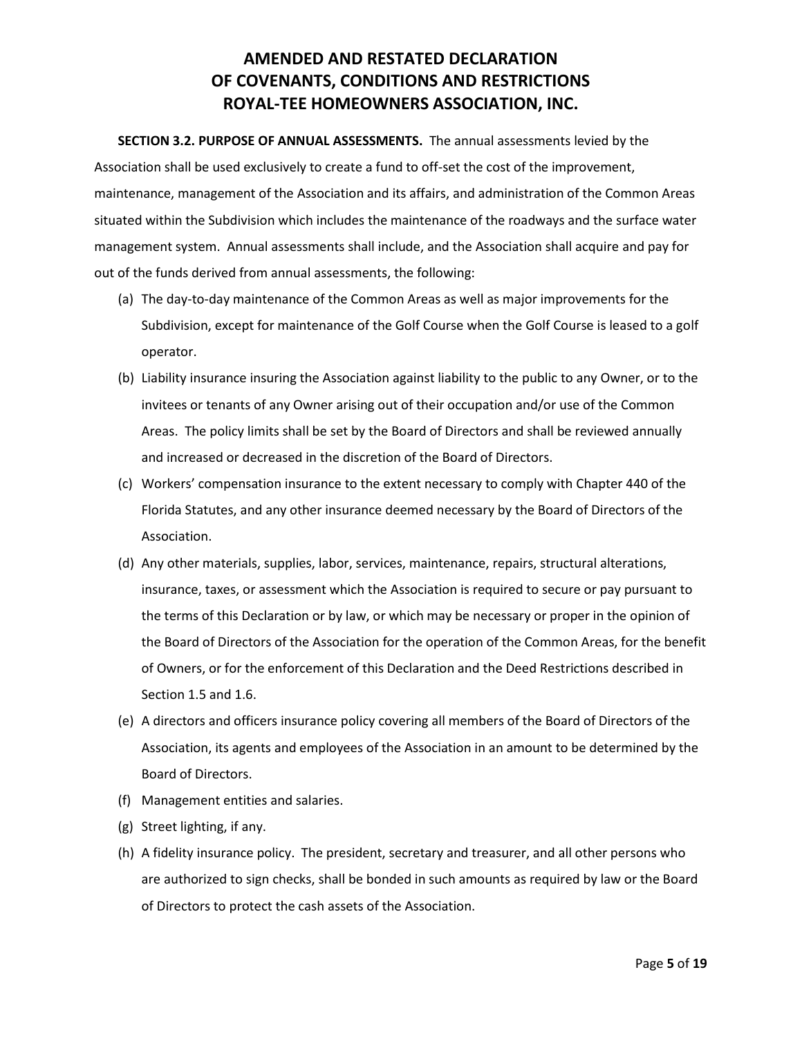**SECTION 3.2. PURPOSE OF ANNUAL ASSESSMENTS.** The annual assessments levied by the Association shall be used exclusively to create a fund to off-set the cost of the improvement, maintenance, management of the Association and its affairs, and administration of the Common Areas situated within the Subdivision which includes the maintenance of the roadways and the surface water management system. Annual assessments shall include, and the Association shall acquire and pay for out of the funds derived from annual assessments, the following:

- (a) The day-to-day maintenance of the Common Areas as well as major improvements for the Subdivision, except for maintenance of the Golf Course when the Golf Course is leased to a golf operator.
- (b) Liability insurance insuring the Association against liability to the public to any Owner, or to the invitees or tenants of any Owner arising out of their occupation and/or use of the Common Areas. The policy limits shall be set by the Board of Directors and shall be reviewed annually and increased or decreased in the discretion of the Board of Directors.
- (c) Workers' compensation insurance to the extent necessary to comply with Chapter 440 of the Florida Statutes, and any other insurance deemed necessary by the Board of Directors of the Association.
- (d) Any other materials, supplies, labor, services, maintenance, repairs, structural alterations, insurance, taxes, or assessment which the Association is required to secure or pay pursuant to the terms of this Declaration or by law, or which may be necessary or proper in the opinion of the Board of Directors of the Association for the operation of the Common Areas, for the benefit of Owners, or for the enforcement of this Declaration and the Deed Restrictions described in Section 1.5 and 1.6.
- (e) A directors and officers insurance policy covering all members of the Board of Directors of the Association, its agents and employees of the Association in an amount to be determined by the Board of Directors.
- (f) Management entities and salaries.
- (g) Street lighting, if any.
- (h) A fidelity insurance policy. The president, secretary and treasurer, and all other persons who are authorized to sign checks, shall be bonded in such amounts as required by law or the Board of Directors to protect the cash assets of the Association.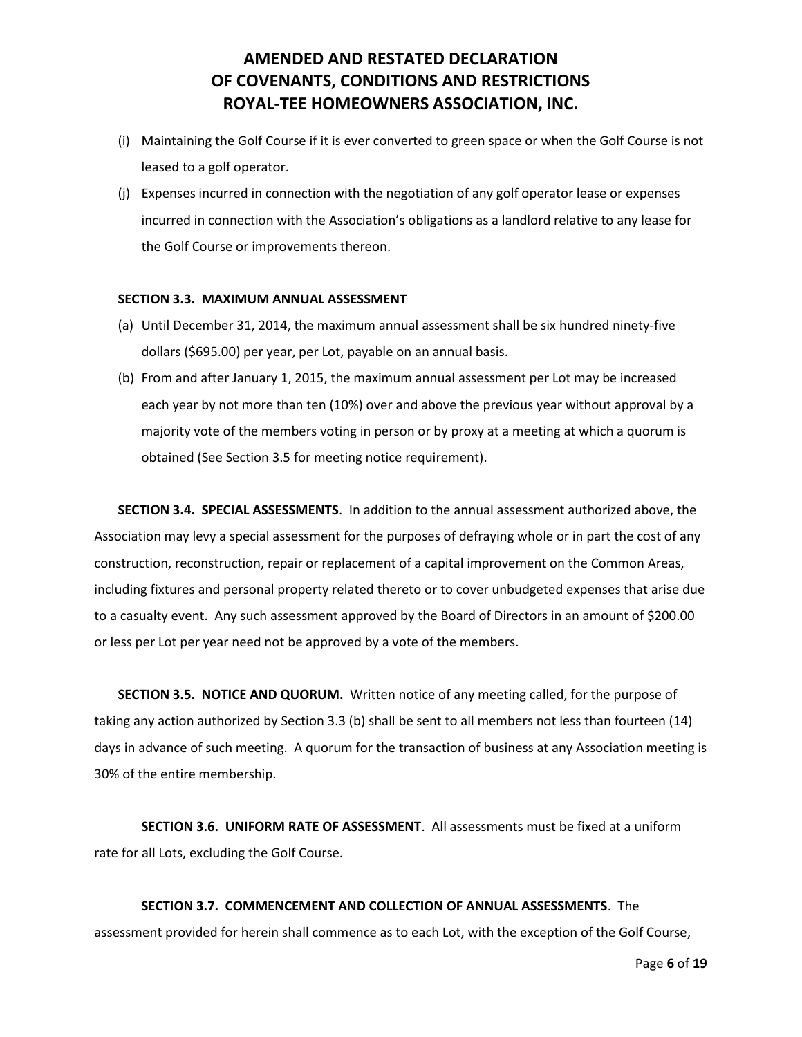- (i) Maintaining the Golf Course if it is ever converted to green space or when the Golf Course is not leased to a golf operator.
- (j) Expenses incurred in connection with the negotiation of any golf operator lease or expenses incurred in connection with the Association's obligations as a landlord relative to any lease for the Golf Course or improvements thereon.

#### **SECTION 3.3. MAXIMUM ANNUAL ASSESSMENT**

- (a) Until December 31, 2014, the maximum annual assessment shall be six hundred ninety-five dollars (\$695.00) per year, per Lot, payable on an annual basis.
- (b) From and after January 1, 2015, the maximum annual assessment per Lot may be increased each year by not more than ten (10%) over and above the previous year without approval by a majority vote of the members voting in person or by proxy at a meeting at which a quorum is obtained (See Section 3.5 for meeting notice requirement).

**SECTION 3.4. SPECIAL ASSESSMENTS**. In addition to the annual assessment authorized above, the Association may levy a special assessment for the purposes of defraying whole or in part the cost of any construction, reconstruction, repair or replacement of a capital improvement on the Common Areas, including fixtures and personal property related thereto or to cover unbudgeted expenses that arise due to a casualty event. Any such assessment approved by the Board of Directors in an amount of \$200.00 or less per Lot per year need not be approved by a vote of the members.

**SECTION 3.5. NOTICE AND QUORUM.** Written notice of any meeting called, for the purpose of taking any action authorized by Section 3.3 (b) shall be sent to all members not less than fourteen (14) days in advance of such meeting. A quorum for the transaction of business at any Association meeting is 30% of the entire membership.

**SECTION 3.6. UNIFORM RATE OF ASSESSMENT**. All assessments must be fixed at a uniform rate for all Lots, excluding the Golf Course.

### **SECTION 3.7. COMMENCEMENT AND COLLECTION OF ANNUAL ASSESSMENTS**. The assessment provided for herein shall commence as to each Lot, with the exception of the Golf Course,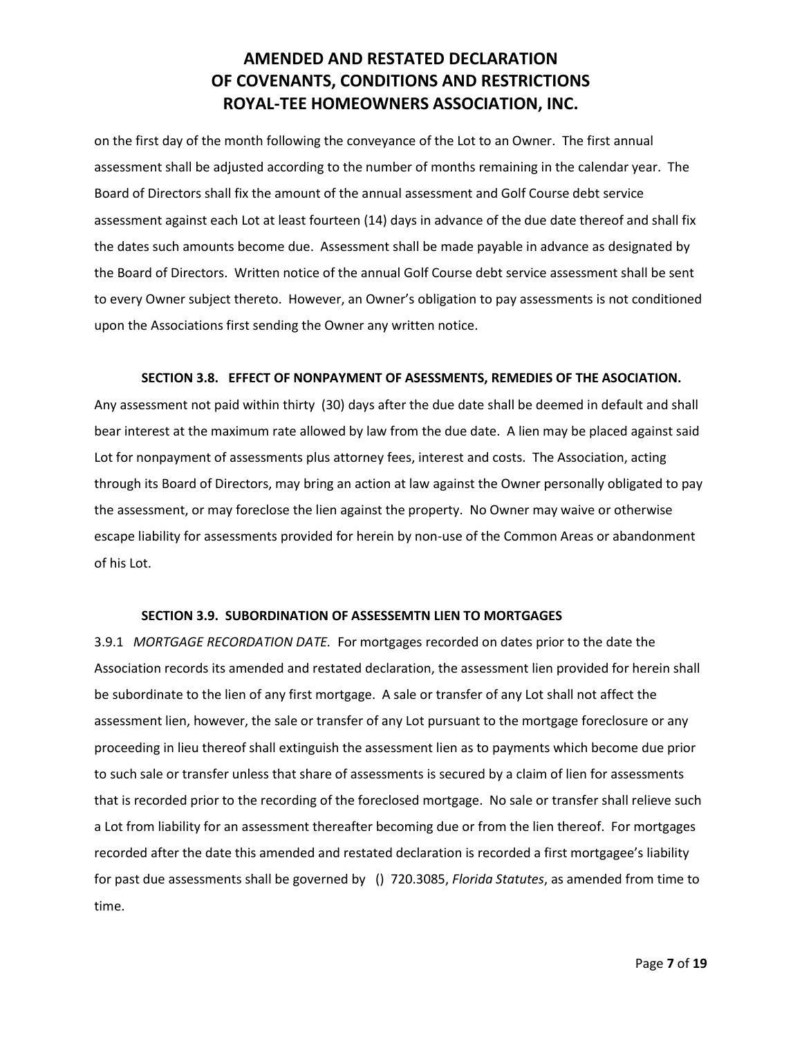on the first day of the month following the conveyance of the Lot to an Owner. The first annual assessment shall be adjusted according to the number of months remaining in the calendar year. The Board of Directors shall fix the amount of the annual assessment and Golf Course debt service assessment against each Lot at least fourteen (14) days in advance of the due date thereof and shall fix the dates such amounts become due. Assessment shall be made payable in advance as designated by the Board of Directors. Written notice of the annual Golf Course debt service assessment shall be sent to every Owner subject thereto. However, an Owner's obligation to pay assessments is not conditioned upon the Associations first sending the Owner any written notice.

#### **SECTION 3.8. EFFECT OF NONPAYMENT OF ASESSMENTS, REMEDIES OF THE ASOCIATION.**

Any assessment not paid within thirty (30) days after the due date shall be deemed in default and shall bear interest at the maximum rate allowed by law from the due date. A lien may be placed against said Lot for nonpayment of assessments plus attorney fees, interest and costs. The Association, acting through its Board of Directors, may bring an action at law against the Owner personally obligated to pay the assessment, or may foreclose the lien against the property. No Owner may waive or otherwise escape liability for assessments provided for herein by non-use of the Common Areas or abandonment of his Lot.

#### **SECTION 3.9. SUBORDINATION OF ASSESSEMTN LIEN TO MORTGAGES**

3.9.1 *MORTGAGE RECORDATION DATE.* For mortgages recorded on dates prior to the date the Association records its amended and restated declaration, the assessment lien provided for herein shall be subordinate to the lien of any first mortgage. A sale or transfer of any Lot shall not affect the assessment lien, however, the sale or transfer of any Lot pursuant to the mortgage foreclosure or any proceeding in lieu thereof shall extinguish the assessment lien as to payments which become due prior to such sale or transfer unless that share of assessments is secured by a claim of lien for assessments that is recorded prior to the recording of the foreclosed mortgage. No sale or transfer shall relieve such a Lot from liability for an assessment thereafter becoming due or from the lien thereof. For mortgages recorded after the date this amended and restated declaration is recorded a first mortgagee's liability for past due assessments shall be governed by () 720.3085, *Florida Statutes*, as amended from time to time.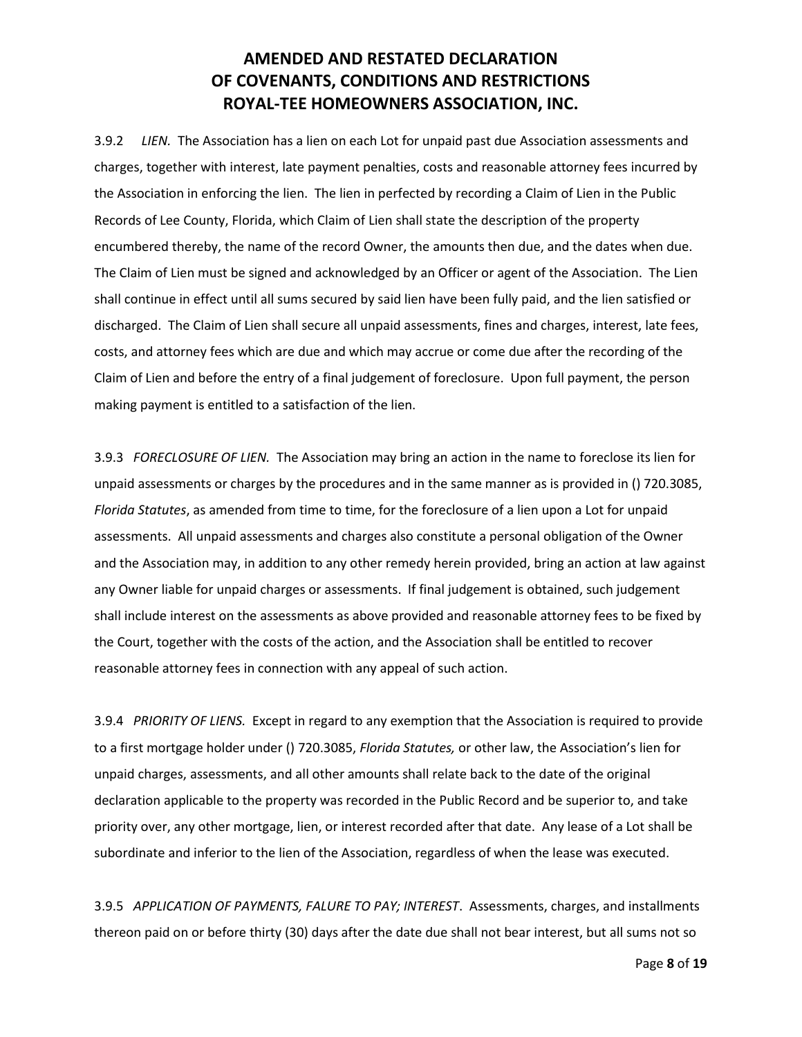3.9.2 *LIEN.* The Association has a lien on each Lot for unpaid past due Association assessments and charges, together with interest, late payment penalties, costs and reasonable attorney fees incurred by the Association in enforcing the lien. The lien in perfected by recording a Claim of Lien in the Public Records of Lee County, Florida, which Claim of Lien shall state the description of the property encumbered thereby, the name of the record Owner, the amounts then due, and the dates when due. The Claim of Lien must be signed and acknowledged by an Officer or agent of the Association. The Lien shall continue in effect until all sums secured by said lien have been fully paid, and the lien satisfied or discharged. The Claim of Lien shall secure all unpaid assessments, fines and charges, interest, late fees, costs, and attorney fees which are due and which may accrue or come due after the recording of the Claim of Lien and before the entry of a final judgement of foreclosure. Upon full payment, the person making payment is entitled to a satisfaction of the lien.

3.9.3 *FORECLOSURE OF LIEN.* The Association may bring an action in the name to foreclose its lien for unpaid assessments or charges by the procedures and in the same manner as is provided in () 720.3085, *Florida Statutes*, as amended from time to time, for the foreclosure of a lien upon a Lot for unpaid assessments. All unpaid assessments and charges also constitute a personal obligation of the Owner and the Association may, in addition to any other remedy herein provided, bring an action at law against any Owner liable for unpaid charges or assessments. If final judgement is obtained, such judgement shall include interest on the assessments as above provided and reasonable attorney fees to be fixed by the Court, together with the costs of the action, and the Association shall be entitled to recover reasonable attorney fees in connection with any appeal of such action.

3.9.4 *PRIORITY OF LIENS.* Except in regard to any exemption that the Association is required to provide to a first mortgage holder under () 720.3085, *Florida Statutes,* or other law, the Association's lien for unpaid charges, assessments, and all other amounts shall relate back to the date of the original declaration applicable to the property was recorded in the Public Record and be superior to, and take priority over, any other mortgage, lien, or interest recorded after that date. Any lease of a Lot shall be subordinate and inferior to the lien of the Association, regardless of when the lease was executed.

3.9.5 *APPLICATION OF PAYMENTS, FALURE TO PAY; INTEREST*. Assessments, charges, and installments thereon paid on or before thirty (30) days after the date due shall not bear interest, but all sums not so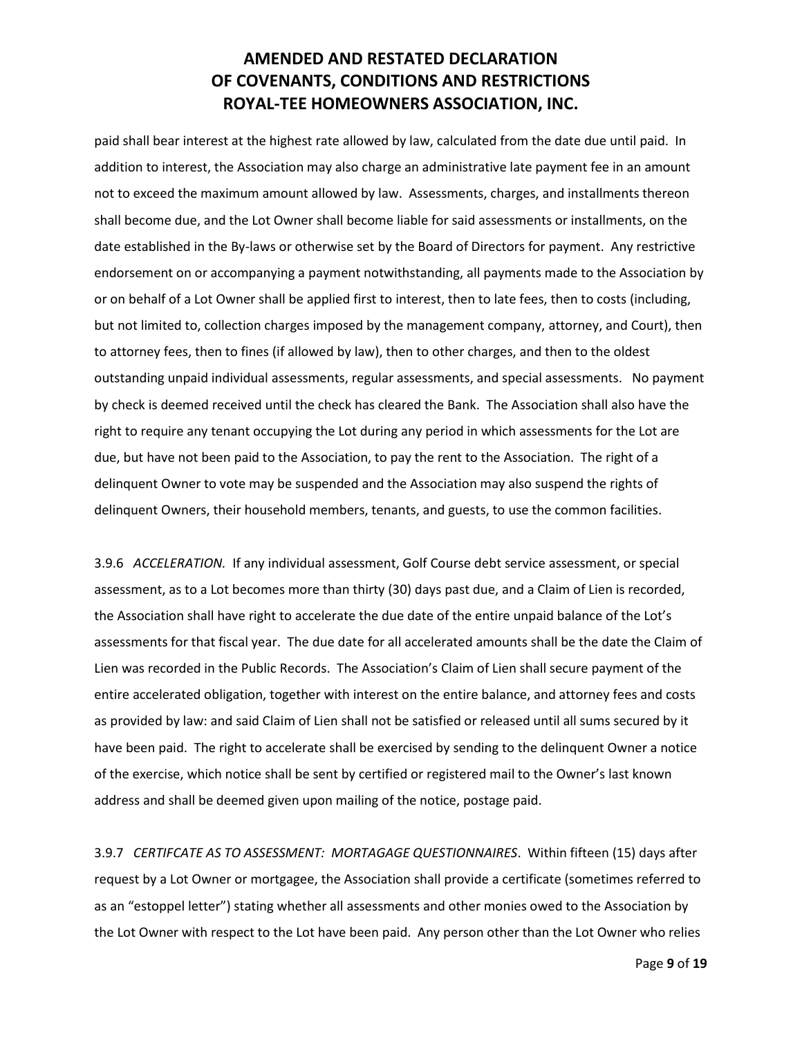paid shall bear interest at the highest rate allowed by law, calculated from the date due until paid. In addition to interest, the Association may also charge an administrative late payment fee in an amount not to exceed the maximum amount allowed by law. Assessments, charges, and installments thereon shall become due, and the Lot Owner shall become liable for said assessments or installments, on the date established in the By-laws or otherwise set by the Board of Directors for payment. Any restrictive endorsement on or accompanying a payment notwithstanding, all payments made to the Association by or on behalf of a Lot Owner shall be applied first to interest, then to late fees, then to costs (including, but not limited to, collection charges imposed by the management company, attorney, and Court), then to attorney fees, then to fines (if allowed by law), then to other charges, and then to the oldest outstanding unpaid individual assessments, regular assessments, and special assessments. No payment by check is deemed received until the check has cleared the Bank. The Association shall also have the right to require any tenant occupying the Lot during any period in which assessments for the Lot are due, but have not been paid to the Association, to pay the rent to the Association. The right of a delinquent Owner to vote may be suspended and the Association may also suspend the rights of delinquent Owners, their household members, tenants, and guests, to use the common facilities.

3.9.6 *ACCELERATION.* If any individual assessment, Golf Course debt service assessment, or special assessment, as to a Lot becomes more than thirty (30) days past due, and a Claim of Lien is recorded, the Association shall have right to accelerate the due date of the entire unpaid balance of the Lot's assessments for that fiscal year. The due date for all accelerated amounts shall be the date the Claim of Lien was recorded in the Public Records. The Association's Claim of Lien shall secure payment of the entire accelerated obligation, together with interest on the entire balance, and attorney fees and costs as provided by law: and said Claim of Lien shall not be satisfied or released until all sums secured by it have been paid. The right to accelerate shall be exercised by sending to the delinquent Owner a notice of the exercise, which notice shall be sent by certified or registered mail to the Owner's last known address and shall be deemed given upon mailing of the notice, postage paid.

3.9.7 *CERTIFCATE AS TO ASSESSMENT: MORTAGAGE QUESTIONNAIRES*. Within fifteen (15) days after request by a Lot Owner or mortgagee, the Association shall provide a certificate (sometimes referred to as an "estoppel letter") stating whether all assessments and other monies owed to the Association by the Lot Owner with respect to the Lot have been paid. Any person other than the Lot Owner who relies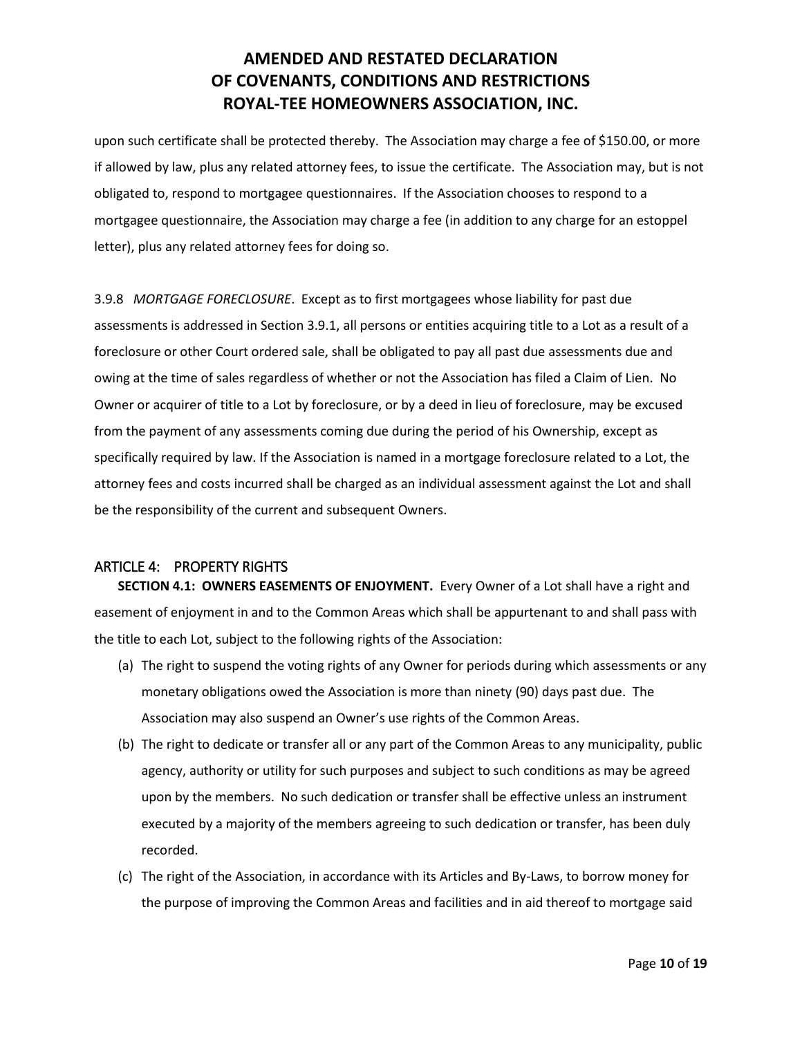upon such certificate shall be protected thereby. The Association may charge a fee of \$150.00, or more if allowed by law, plus any related attorney fees, to issue the certificate. The Association may, but is not obligated to, respond to mortgagee questionnaires. If the Association chooses to respond to a mortgagee questionnaire, the Association may charge a fee (in addition to any charge for an estoppel letter), plus any related attorney fees for doing so.

3.9.8 *MORTGAGE FORECLOSURE*. Except as to first mortgagees whose liability for past due assessments is addressed in Section 3.9.1, all persons or entities acquiring title to a Lot as a result of a foreclosure or other Court ordered sale, shall be obligated to pay all past due assessments due and owing at the time of sales regardless of whether or not the Association has filed a Claim of Lien. No Owner or acquirer of title to a Lot by foreclosure, or by a deed in lieu of foreclosure, may be excused from the payment of any assessments coming due during the period of his Ownership, except as specifically required by law. If the Association is named in a mortgage foreclosure related to a Lot, the attorney fees and costs incurred shall be charged as an individual assessment against the Lot and shall be the responsibility of the current and subsequent Owners.

### <span id="page-9-0"></span>ARTICLE 4: PROPERTY RIGHTS

**SECTION 4.1: OWNERS EASEMENTS OF ENJOYMENT.** Every Owner of a Lot shall have a right and easement of enjoyment in and to the Common Areas which shall be appurtenant to and shall pass with the title to each Lot, subject to the following rights of the Association:

- (a) The right to suspend the voting rights of any Owner for periods during which assessments or any monetary obligations owed the Association is more than ninety (90) days past due. The Association may also suspend an Owner's use rights of the Common Areas.
- (b) The right to dedicate or transfer all or any part of the Common Areas to any municipality, public agency, authority or utility for such purposes and subject to such conditions as may be agreed upon by the members. No such dedication or transfer shall be effective unless an instrument executed by a majority of the members agreeing to such dedication or transfer, has been duly recorded.
- (c) The right of the Association, in accordance with its Articles and By-Laws, to borrow money for the purpose of improving the Common Areas and facilities and in aid thereof to mortgage said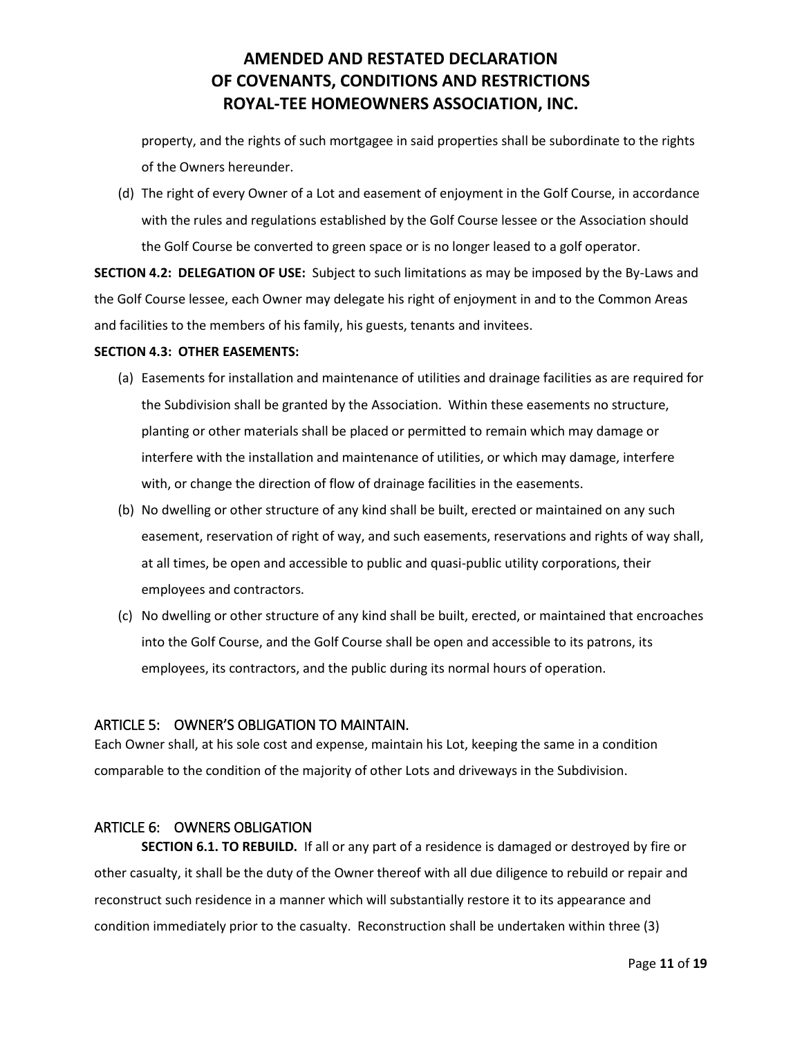property, and the rights of such mortgagee in said properties shall be subordinate to the rights of the Owners hereunder.

(d) The right of every Owner of a Lot and easement of enjoyment in the Golf Course, in accordance with the rules and regulations established by the Golf Course lessee or the Association should the Golf Course be converted to green space or is no longer leased to a golf operator.

**SECTION 4.2: DELEGATION OF USE:** Subject to such limitations as may be imposed by the By-Laws and the Golf Course lessee, each Owner may delegate his right of enjoyment in and to the Common Areas and facilities to the members of his family, his guests, tenants and invitees.

#### **SECTION 4.3: OTHER EASEMENTS:**

- (a) Easements for installation and maintenance of utilities and drainage facilities as are required for the Subdivision shall be granted by the Association. Within these easements no structure, planting or other materials shall be placed or permitted to remain which may damage or interfere with the installation and maintenance of utilities, or which may damage, interfere with, or change the direction of flow of drainage facilities in the easements.
- (b) No dwelling or other structure of any kind shall be built, erected or maintained on any such easement, reservation of right of way, and such easements, reservations and rights of way shall, at all times, be open and accessible to public and quasi-public utility corporations, their employees and contractors.
- (c) No dwelling or other structure of any kind shall be built, erected, or maintained that encroaches into the Golf Course, and the Golf Course shall be open and accessible to its patrons, its employees, its contractors, and the public during its normal hours of operation.

### <span id="page-10-0"></span>ARTICLE 5: OWNER'S OBLIGATION TO MAINTAIN.

Each Owner shall, at his sole cost and expense, maintain his Lot, keeping the same in a condition comparable to the condition of the majority of other Lots and driveways in the Subdivision.

#### <span id="page-10-1"></span>ARTICLE 6: OWNERS OBLIGATION

**SECTION 6.1. TO REBUILD.** If all or any part of a residence is damaged or destroyed by fire or other casualty, it shall be the duty of the Owner thereof with all due diligence to rebuild or repair and reconstruct such residence in a manner which will substantially restore it to its appearance and condition immediately prior to the casualty. Reconstruction shall be undertaken within three (3)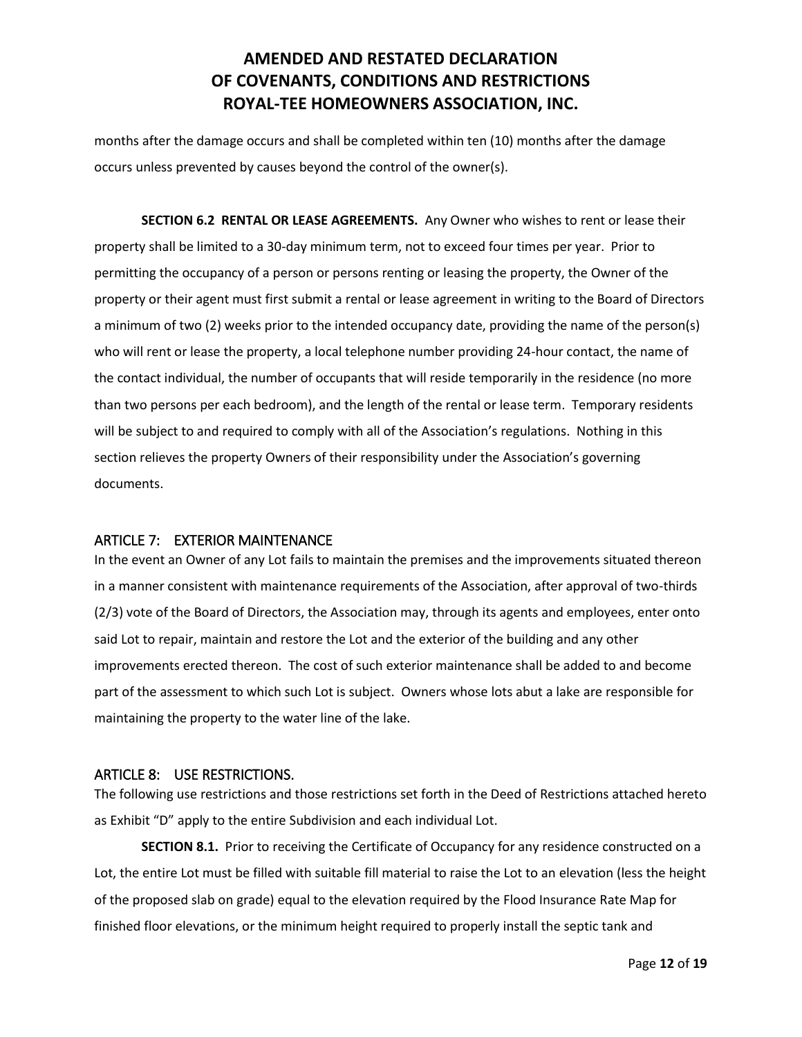months after the damage occurs and shall be completed within ten (10) months after the damage occurs unless prevented by causes beyond the control of the owner(s).

**SECTION 6.2 RENTAL OR LEASE AGREEMENTS.** Any Owner who wishes to rent or lease their property shall be limited to a 30-day minimum term, not to exceed four times per year. Prior to permitting the occupancy of a person or persons renting or leasing the property, the Owner of the property or their agent must first submit a rental or lease agreement in writing to the Board of Directors a minimum of two (2) weeks prior to the intended occupancy date, providing the name of the person(s) who will rent or lease the property, a local telephone number providing 24-hour contact, the name of the contact individual, the number of occupants that will reside temporarily in the residence (no more than two persons per each bedroom), and the length of the rental or lease term. Temporary residents will be subject to and required to comply with all of the Association's regulations. Nothing in this section relieves the property Owners of their responsibility under the Association's governing documents.

### <span id="page-11-0"></span>ARTICLE 7: EXTERIOR MAINTENANCE

In the event an Owner of any Lot fails to maintain the premises and the improvements situated thereon in a manner consistent with maintenance requirements of the Association, after approval of two-thirds (2/3) vote of the Board of Directors, the Association may, through its agents and employees, enter onto said Lot to repair, maintain and restore the Lot and the exterior of the building and any other improvements erected thereon. The cost of such exterior maintenance shall be added to and become part of the assessment to which such Lot is subject. Owners whose lots abut a lake are responsible for maintaining the property to the water line of the lake.

### <span id="page-11-1"></span>ARTICLE 8: USE RESTRICTIONS.

The following use restrictions and those restrictions set forth in the Deed of Restrictions attached hereto as Exhibit "D" apply to the entire Subdivision and each individual Lot.

**SECTION 8.1.** Prior to receiving the Certificate of Occupancy for any residence constructed on a Lot, the entire Lot must be filled with suitable fill material to raise the Lot to an elevation (less the height of the proposed slab on grade) equal to the elevation required by the Flood Insurance Rate Map for finished floor elevations, or the minimum height required to properly install the septic tank and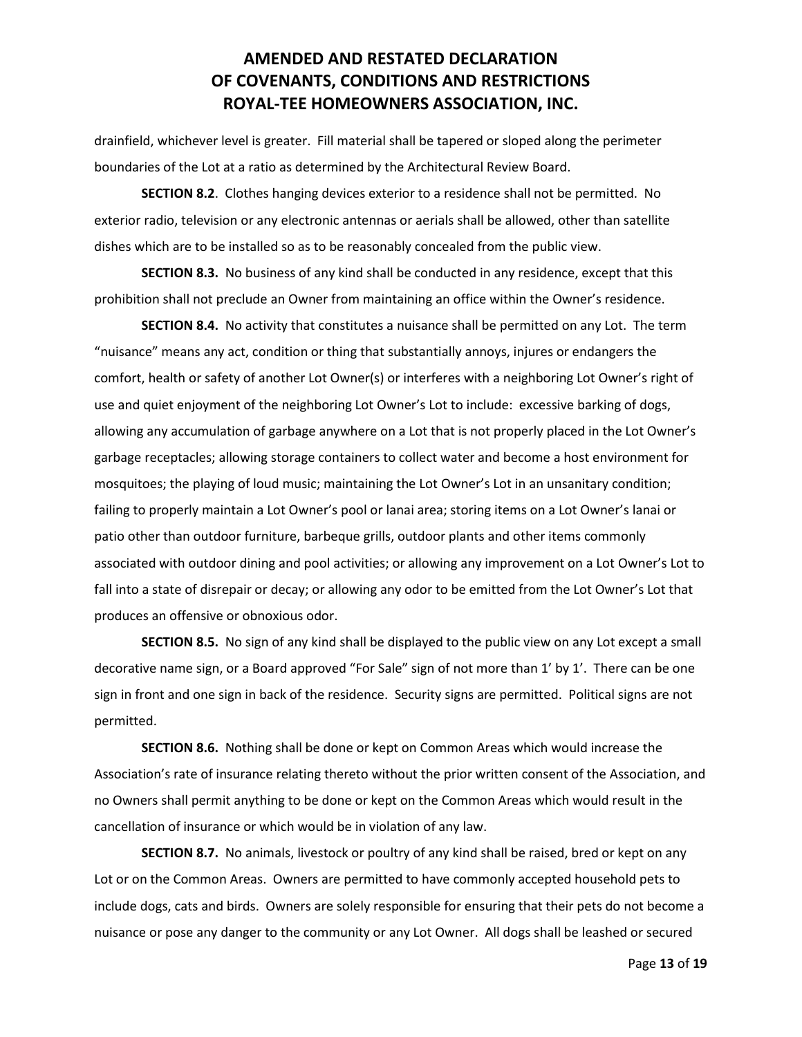drainfield, whichever level is greater. Fill material shall be tapered or sloped along the perimeter boundaries of the Lot at a ratio as determined by the Architectural Review Board.

**SECTION 8.2**. Clothes hanging devices exterior to a residence shall not be permitted. No exterior radio, television or any electronic antennas or aerials shall be allowed, other than satellite dishes which are to be installed so as to be reasonably concealed from the public view.

**SECTION 8.3.** No business of any kind shall be conducted in any residence, except that this prohibition shall not preclude an Owner from maintaining an office within the Owner's residence.

**SECTION 8.4.** No activity that constitutes a nuisance shall be permitted on any Lot. The term "nuisance" means any act, condition or thing that substantially annoys, injures or endangers the comfort, health or safety of another Lot Owner(s) or interferes with a neighboring Lot Owner's right of use and quiet enjoyment of the neighboring Lot Owner's Lot to include: excessive barking of dogs, allowing any accumulation of garbage anywhere on a Lot that is not properly placed in the Lot Owner's garbage receptacles; allowing storage containers to collect water and become a host environment for mosquitoes; the playing of loud music; maintaining the Lot Owner's Lot in an unsanitary condition; failing to properly maintain a Lot Owner's pool or lanai area; storing items on a Lot Owner's lanai or patio other than outdoor furniture, barbeque grills, outdoor plants and other items commonly associated with outdoor dining and pool activities; or allowing any improvement on a Lot Owner's Lot to fall into a state of disrepair or decay; or allowing any odor to be emitted from the Lot Owner's Lot that produces an offensive or obnoxious odor.

**SECTION 8.5.** No sign of any kind shall be displayed to the public view on any Lot except a small decorative name sign, or a Board approved "For Sale" sign of not more than 1' by 1'. There can be one sign in front and one sign in back of the residence. Security signs are permitted. Political signs are not permitted.

**SECTION 8.6.** Nothing shall be done or kept on Common Areas which would increase the Association's rate of insurance relating thereto without the prior written consent of the Association, and no Owners shall permit anything to be done or kept on the Common Areas which would result in the cancellation of insurance or which would be in violation of any law.

**SECTION 8.7.** No animals, livestock or poultry of any kind shall be raised, bred or kept on any Lot or on the Common Areas. Owners are permitted to have commonly accepted household pets to include dogs, cats and birds. Owners are solely responsible for ensuring that their pets do not become a nuisance or pose any danger to the community or any Lot Owner. All dogs shall be leashed or secured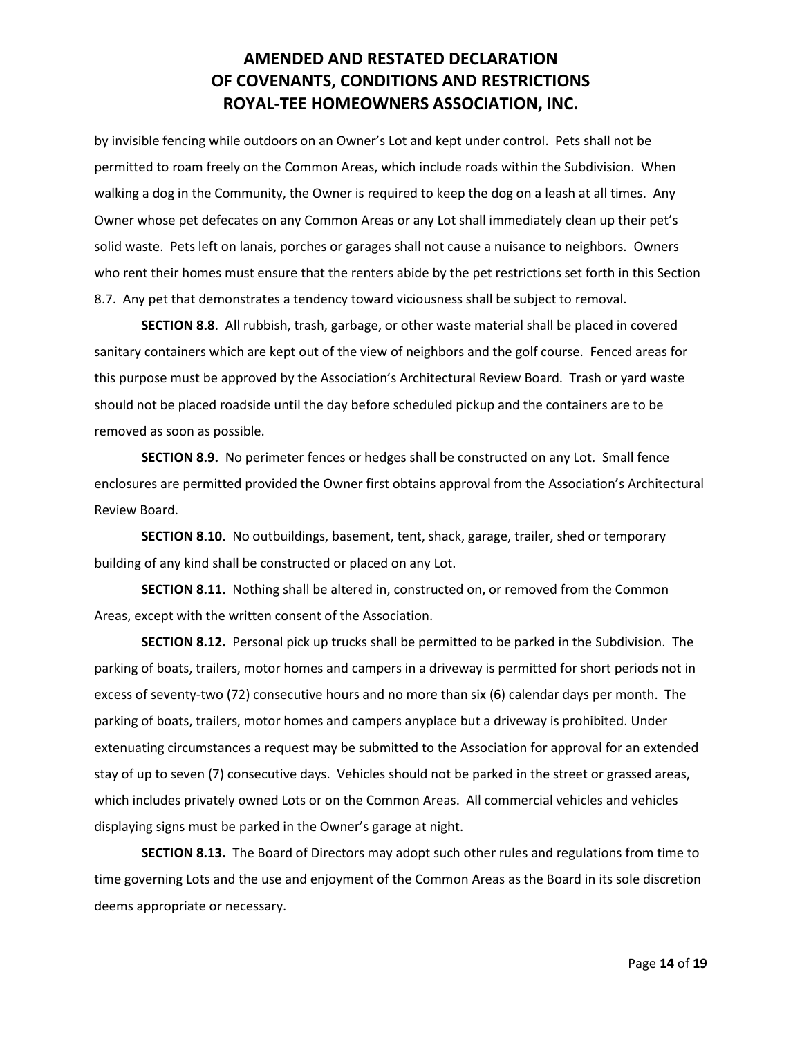by invisible fencing while outdoors on an Owner's Lot and kept under control. Pets shall not be permitted to roam freely on the Common Areas, which include roads within the Subdivision. When walking a dog in the Community, the Owner is required to keep the dog on a leash at all times. Any Owner whose pet defecates on any Common Areas or any Lot shall immediately clean up their pet's solid waste. Pets left on lanais, porches or garages shall not cause a nuisance to neighbors. Owners who rent their homes must ensure that the renters abide by the pet restrictions set forth in this Section 8.7. Any pet that demonstrates a tendency toward viciousness shall be subject to removal.

**SECTION 8.8**. All rubbish, trash, garbage, or other waste material shall be placed in covered sanitary containers which are kept out of the view of neighbors and the golf course. Fenced areas for this purpose must be approved by the Association's Architectural Review Board. Trash or yard waste should not be placed roadside until the day before scheduled pickup and the containers are to be removed as soon as possible.

**SECTION 8.9.** No perimeter fences or hedges shall be constructed on any Lot. Small fence enclosures are permitted provided the Owner first obtains approval from the Association's Architectural Review Board.

**SECTION 8.10.** No outbuildings, basement, tent, shack, garage, trailer, shed or temporary building of any kind shall be constructed or placed on any Lot.

**SECTION 8.11.** Nothing shall be altered in, constructed on, or removed from the Common Areas, except with the written consent of the Association.

**SECTION 8.12.** Personal pick up trucks shall be permitted to be parked in the Subdivision. The parking of boats, trailers, motor homes and campers in a driveway is permitted for short periods not in excess of seventy-two (72) consecutive hours and no more than six (6) calendar days per month. The parking of boats, trailers, motor homes and campers anyplace but a driveway is prohibited. Under extenuating circumstances a request may be submitted to the Association for approval for an extended stay of up to seven (7) consecutive days. Vehicles should not be parked in the street or grassed areas, which includes privately owned Lots or on the Common Areas. All commercial vehicles and vehicles displaying signs must be parked in the Owner's garage at night.

**SECTION 8.13.** The Board of Directors may adopt such other rules and regulations from time to time governing Lots and the use and enjoyment of the Common Areas as the Board in its sole discretion deems appropriate or necessary.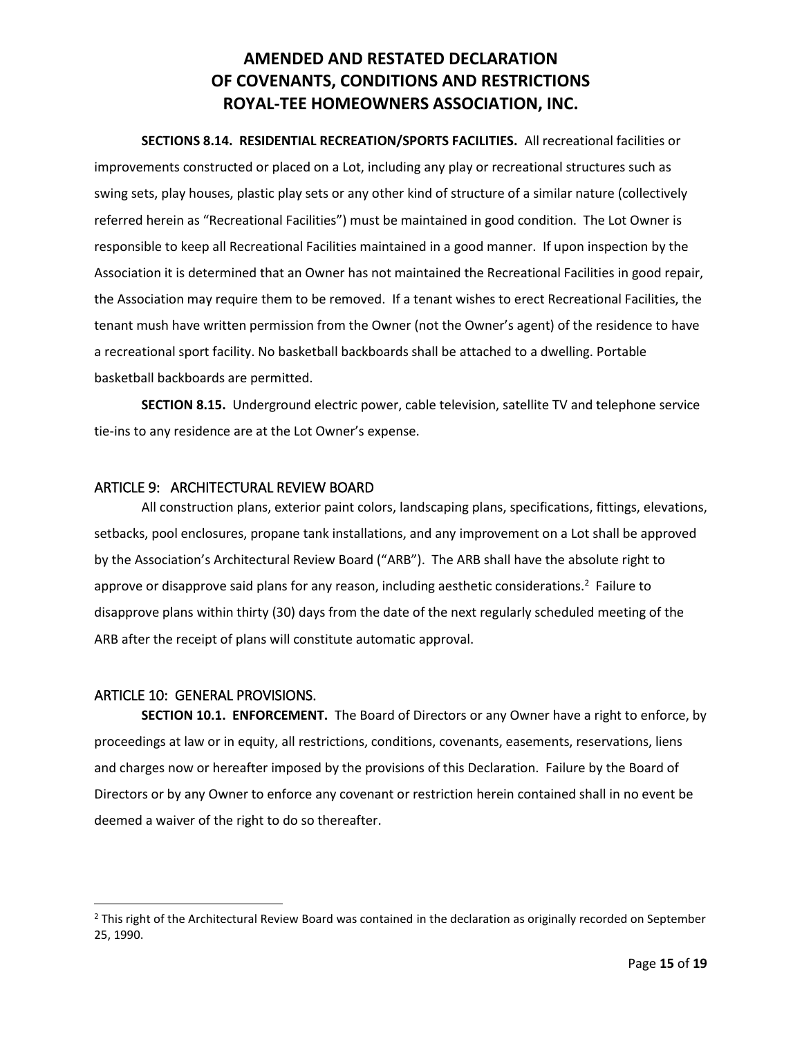**SECTIONS 8.14. RESIDENTIAL RECREATION/SPORTS FACILITIES.** All recreational facilities or improvements constructed or placed on a Lot, including any play or recreational structures such as swing sets, play houses, plastic play sets or any other kind of structure of a similar nature (collectively referred herein as "Recreational Facilities") must be maintained in good condition. The Lot Owner is responsible to keep all Recreational Facilities maintained in a good manner. If upon inspection by the Association it is determined that an Owner has not maintained the Recreational Facilities in good repair, the Association may require them to be removed. If a tenant wishes to erect Recreational Facilities, the tenant mush have written permission from the Owner (not the Owner's agent) of the residence to have a recreational sport facility. No basketball backboards shall be attached to a dwelling. Portable basketball backboards are permitted.

**SECTION 8.15.** Underground electric power, cable television, satellite TV and telephone service tie-ins to any residence are at the Lot Owner's expense.

### <span id="page-14-0"></span>ARTICLE 9: ARCHITECTURAL REVIEW BOARD

All construction plans, exterior paint colors, landscaping plans, specifications, fittings, elevations, setbacks, pool enclosures, propane tank installations, and any improvement on a Lot shall be approved by the Association's Architectural Review Board ("ARB"). The ARB shall have the absolute right to approve or disapprove said plans for any reason, including aesthetic considerations.<sup>2</sup> Failure to disapprove plans within thirty (30) days from the date of the next regularly scheduled meeting of the ARB after the receipt of plans will constitute automatic approval.

### <span id="page-14-1"></span>ARTICLE 10: GENERAL PROVISIONS.

 $\overline{\phantom{a}}$ 

**SECTION 10.1. ENFORCEMENT.** The Board of Directors or any Owner have a right to enforce, by proceedings at law or in equity, all restrictions, conditions, covenants, easements, reservations, liens and charges now or hereafter imposed by the provisions of this Declaration. Failure by the Board of Directors or by any Owner to enforce any covenant or restriction herein contained shall in no event be deemed a waiver of the right to do so thereafter.

<sup>&</sup>lt;sup>2</sup> This right of the Architectural Review Board was contained in the declaration as originally recorded on September 25, 1990.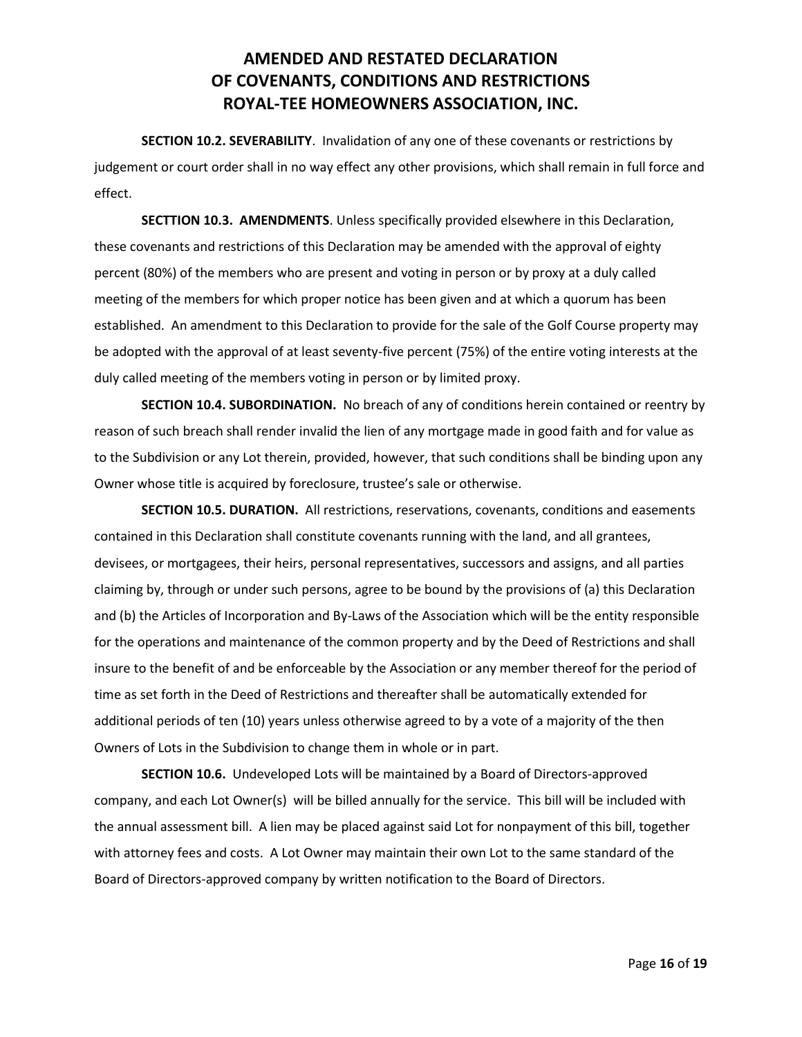**SECTION 10.2. SEVERABILITY**. Invalidation of any one of these covenants or restrictions by judgement or court order shall in no way effect any other provisions, which shall remain in full force and effect.

**SECTTION 10.3. AMENDMENTS**. Unless specifically provided elsewhere in this Declaration, these covenants and restrictions of this Declaration may be amended with the approval of eighty percent (80%) of the members who are present and voting in person or by proxy at a duly called meeting of the members for which proper notice has been given and at which a quorum has been established. An amendment to this Declaration to provide for the sale of the Golf Course property may be adopted with the approval of at least seventy-five percent (75%) of the entire voting interests at the duly called meeting of the members voting in person or by limited proxy.

**SECTION 10.4. SUBORDINATION.** No breach of any of conditions herein contained or reentry by reason of such breach shall render invalid the lien of any mortgage made in good faith and for value as to the Subdivision or any Lot therein, provided, however, that such conditions shall be binding upon any Owner whose title is acquired by foreclosure, trustee's sale or otherwise.

**SECTION 10.5. DURATION.** All restrictions, reservations, covenants, conditions and easements contained in this Declaration shall constitute covenants running with the land, and all grantees, devisees, or mortgagees, their heirs, personal representatives, successors and assigns, and all parties claiming by, through or under such persons, agree to be bound by the provisions of (a) this Declaration and (b) the Articles of Incorporation and By-Laws of the Association which will be the entity responsible for the operations and maintenance of the common property and by the Deed of Restrictions and shall insure to the benefit of and be enforceable by the Association or any member thereof for the period of time as set forth in the Deed of Restrictions and thereafter shall be automatically extended for additional periods of ten (10) years unless otherwise agreed to by a vote of a majority of the then Owners of Lots in the Subdivision to change them in whole or in part.

**SECTION 10.6.** Undeveloped Lots will be maintained by a Board of Directors-approved company, and each Lot Owner(s) will be billed annually for the service. This bill will be included with the annual assessment bill. A lien may be placed against said Lot for nonpayment of this bill, together with attorney fees and costs. A Lot Owner may maintain their own Lot to the same standard of the Board of Directors-approved company by written notification to the Board of Directors.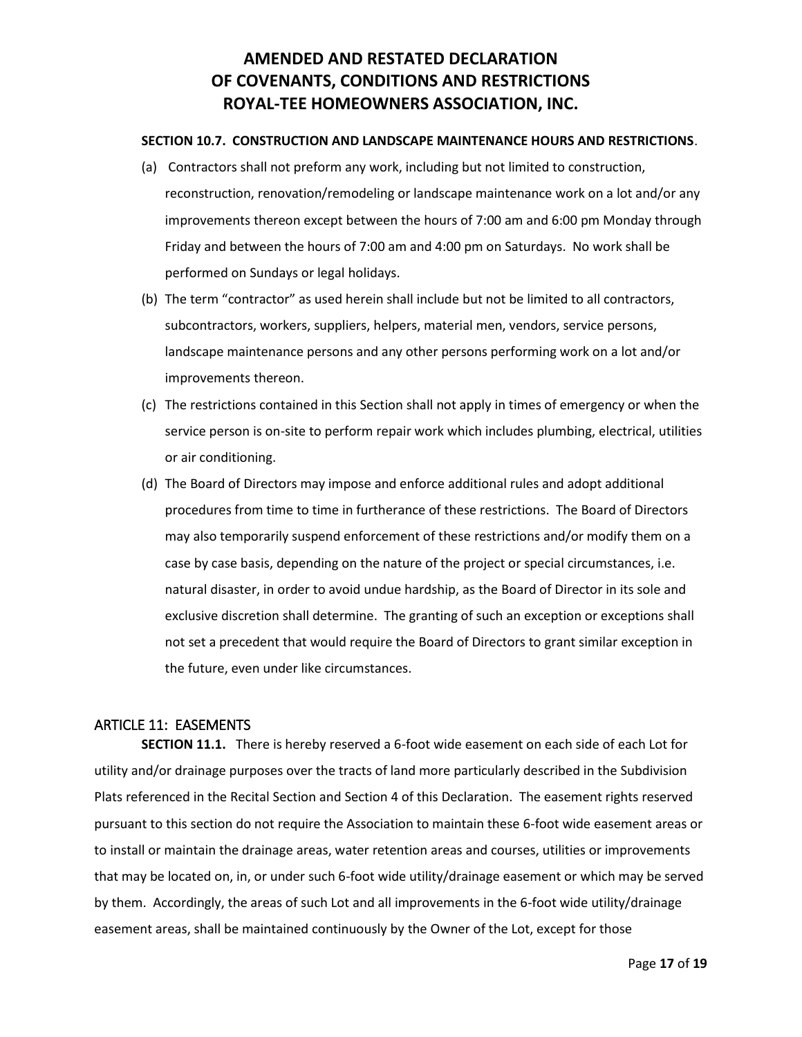### **SECTION 10.7. CONSTRUCTION AND LANDSCAPE MAINTENANCE HOURS AND RESTRICTIONS**.

- (a) Contractors shall not preform any work, including but not limited to construction, reconstruction, renovation/remodeling or landscape maintenance work on a lot and/or any improvements thereon except between the hours of 7:00 am and 6:00 pm Monday through Friday and between the hours of 7:00 am and 4:00 pm on Saturdays. No work shall be performed on Sundays or legal holidays.
- (b) The term "contractor" as used herein shall include but not be limited to all contractors, subcontractors, workers, suppliers, helpers, material men, vendors, service persons, landscape maintenance persons and any other persons performing work on a lot and/or improvements thereon.
- (c) The restrictions contained in this Section shall not apply in times of emergency or when the service person is on-site to perform repair work which includes plumbing, electrical, utilities or air conditioning.
- (d) The Board of Directors may impose and enforce additional rules and adopt additional procedures from time to time in furtherance of these restrictions. The Board of Directors may also temporarily suspend enforcement of these restrictions and/or modify them on a case by case basis, depending on the nature of the project or special circumstances, i.e. natural disaster, in order to avoid undue hardship, as the Board of Director in its sole and exclusive discretion shall determine. The granting of such an exception or exceptions shall not set a precedent that would require the Board of Directors to grant similar exception in the future, even under like circumstances.

### <span id="page-16-0"></span>ARTICLE 11: EASEMENTS

**SECTION 11.1.** There is hereby reserved a 6-foot wide easement on each side of each Lot for utility and/or drainage purposes over the tracts of land more particularly described in the Subdivision Plats referenced in the Recital Section and Section 4 of this Declaration. The easement rights reserved pursuant to this section do not require the Association to maintain these 6-foot wide easement areas or to install or maintain the drainage areas, water retention areas and courses, utilities or improvements that may be located on, in, or under such 6-foot wide utility/drainage easement or which may be served by them. Accordingly, the areas of such Lot and all improvements in the 6-foot wide utility/drainage easement areas, shall be maintained continuously by the Owner of the Lot, except for those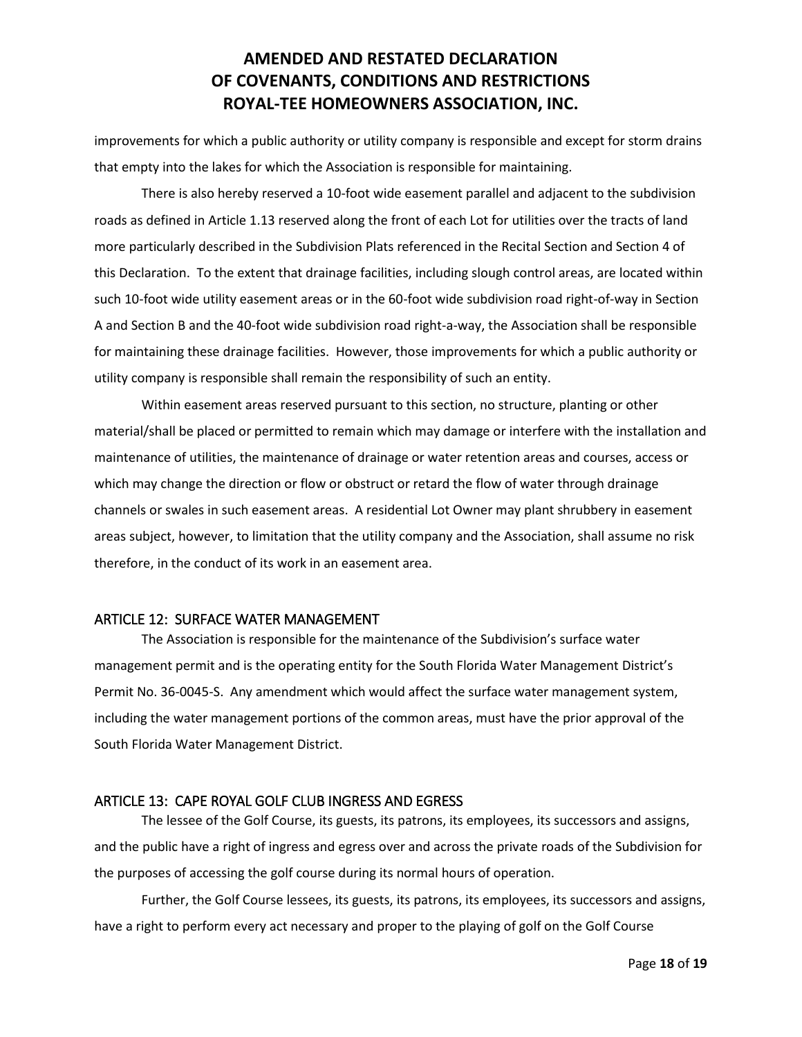improvements for which a public authority or utility company is responsible and except for storm drains that empty into the lakes for which the Association is responsible for maintaining.

There is also hereby reserved a 10-foot wide easement parallel and adjacent to the subdivision roads as defined in Article 1.13 reserved along the front of each Lot for utilities over the tracts of land more particularly described in the Subdivision Plats referenced in the Recital Section and Section 4 of this Declaration. To the extent that drainage facilities, including slough control areas, are located within such 10-foot wide utility easement areas or in the 60-foot wide subdivision road right-of-way in Section A and Section B and the 40-foot wide subdivision road right-a-way, the Association shall be responsible for maintaining these drainage facilities. However, those improvements for which a public authority or utility company is responsible shall remain the responsibility of such an entity.

Within easement areas reserved pursuant to this section, no structure, planting or other material/shall be placed or permitted to remain which may damage or interfere with the installation and maintenance of utilities, the maintenance of drainage or water retention areas and courses, access or which may change the direction or flow or obstruct or retard the flow of water through drainage channels or swales in such easement areas. A residential Lot Owner may plant shrubbery in easement areas subject, however, to limitation that the utility company and the Association, shall assume no risk therefore, in the conduct of its work in an easement area.

### <span id="page-17-0"></span>ARTICLE 12: SURFACE WATER MANAGEMENT

The Association is responsible for the maintenance of the Subdivision's surface water management permit and is the operating entity for the South Florida Water Management District's Permit No. 36-0045-S. Any amendment which would affect the surface water management system, including the water management portions of the common areas, must have the prior approval of the South Florida Water Management District.

### <span id="page-17-1"></span>ARTICLE 13: CAPE ROYAL GOLF CLUB INGRESS AND EGRESS

The lessee of the Golf Course, its guests, its patrons, its employees, its successors and assigns, and the public have a right of ingress and egress over and across the private roads of the Subdivision for the purposes of accessing the golf course during its normal hours of operation.

Further, the Golf Course lessees, its guests, its patrons, its employees, its successors and assigns, have a right to perform every act necessary and proper to the playing of golf on the Golf Course